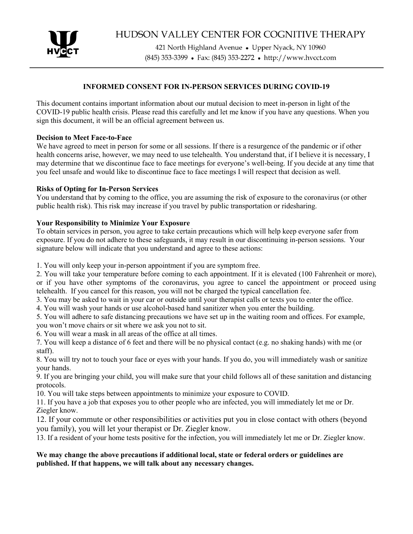

HUDSON VALLEY CENTER FOR COGNITIVE THERAPY

421 North Highland Avenue • Upper Nyack, NY 10960 (845) 353-3399 • Fax: (845) 353-2272 • http://www.hvcct.com

# **INFORMED CONSENT FOR IN-PERSON SERVICES DURING COVID-19**

This document contains important information about our mutual decision to meet in-person in light of the COVID-19 public health crisis. Please read this carefully and let me know if you have any questions. When you sign this document, it will be an official agreement between us.

## **Decision to Meet Face-to-Face**

We have agreed to meet in person for some or all sessions. If there is a resurgence of the pandemic or if other health concerns arise, however, we may need to use telehealth. You understand that, if I believe it is necessary, I may determine that we discontinue face to face meetings for everyone's well-being. If you decide at any time that you feel unsafe and would like to discontinue face to face meetings I will respect that decision as well.

# **Risks of Opting for In-Person Services**

You understand that by coming to the office, you are assuming the risk of exposure to the coronavirus (or other public health risk). This risk may increase if you travel by public transportation or ridesharing.

# **Your Responsibility to Minimize Your Exposure**

To obtain services in person, you agree to take certain precautions which will help keep everyone safer from exposure. If you do not adhere to these safeguards, it may result in our discontinuing in-person sessions. Your signature below will indicate that you understand and agree to these actions:

1. You will only keep your in-person appointment if you are symptom free.

2. You will take your temperature before coming to each appointment. If it is elevated (100 Fahrenheit or more), or if you have other symptoms of the coronavirus, you agree to cancel the appointment or proceed using telehealth. If you cancel for this reason, you will not be charged the typical cancellation fee.

3. You may be asked to wait in your car or outside until your therapist calls or texts you to enter the office.

4. You will wash your hands or use alcohol-based hand sanitizer when you enter the building.

5. You will adhere to safe distancing precautions we have set up in the waiting room and offices. For example, you won't move chairs or sit where we ask you not to sit.

6. You will wear a mask in all areas of the office at all times.

7. You will keep a distance of 6 feet and there will be no physical contact (e.g. no shaking hands) with me (or staff).

8. You will try not to touch your face or eyes with your hands. If you do, you will immediately wash or sanitize your hands.

9. If you are bringing your child, you will make sure that your child follows all of these sanitation and distancing protocols.

10. You will take steps between appointments to minimize your exposure to COVID.

11. If you have a job that exposes you to other people who are infected, you will immediately let me or Dr. Ziegler know.

12. If your commute or other responsibilities or activities put you in close contact with others (beyond you family), you will let your therapist or Dr. Ziegler know.

13. If a resident of your home tests positive for the infection, you will immediately let me or Dr. Ziegler know.

# **We may change the above precautions if additional local, state or federal orders or guidelines are published. If that happens, we will talk about any necessary changes.**